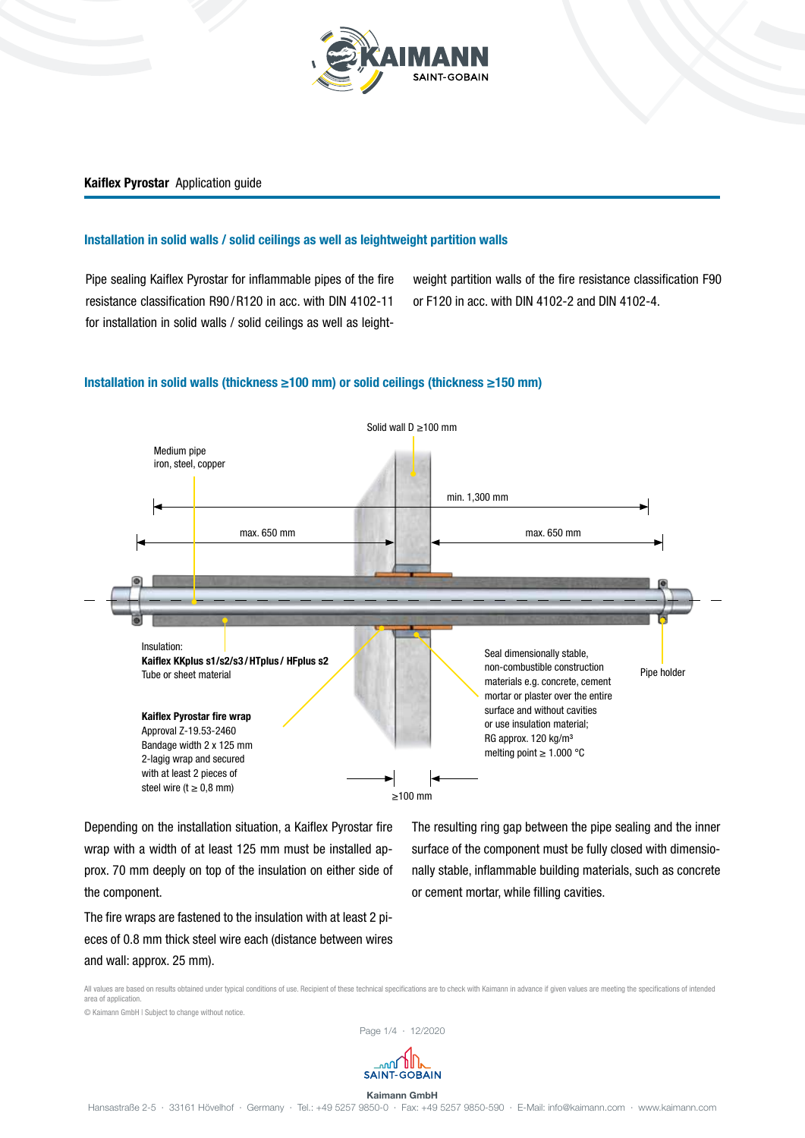

### Installation in solid walls / solid ceilings as well as leightweight partition walls

Pipe sealing Kaiflex Pyrostar for inflammable pipes of the fire resistance classification R90 /R120 in acc. with DIN 4102-11 for installation in solid walls / solid ceilings as well as leightweight partition walls of the fire resistance classification F90 or F120 in acc. with DIN 4102-2 and DIN 4102-4.

### Installation in solid walls (thickness ≥100 mm) or solid ceilings (thickness ≥150 mm)



Depending on the installation situation, a Kaiflex Pyrostar fire wrap with a width of at least 125 mm must be installed approx. 70 mm deeply on top of the insulation on either side of the component.

The fire wraps are fastened to the insulation with at least 2 pieces of 0.8 mm thick steel wire each (distance between wires and wall: approx. 25 mm).

The resulting ring gap between the pipe sealing and the inner surface of the component must be fully closed with dimensionally stable, inflammable building materials, such as concrete or cement mortar, while filling cavities.

All values are based on results obtained under typical conditions of use. Recipient of these technical specifications are to check with Kaimann in advance if given values are meeting the specifications of intended area of application. © Kaimann GmbH | Subject to change without notice.

Page 1/4 ∙ 12/2020

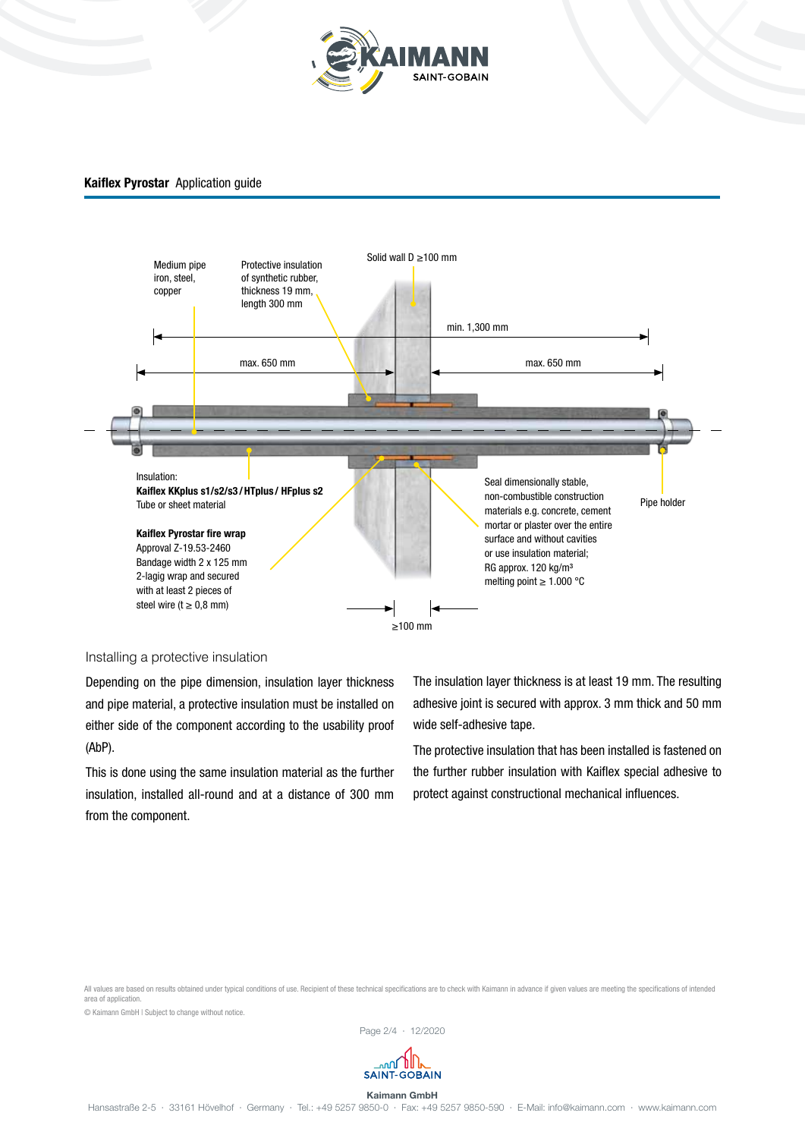



# Installing a protective insulation

Depending on the pipe dimension, insulation layer thickness and pipe material, a protective insulation must be installed on either side of the component according to the usability proof (AbP).

This is done using the same insulation material as the further insulation, installed all-round and at a distance of 300 mm from the component.

The insulation layer thickness is at least 19 mm. The resulting adhesive joint is secured with approx. 3 mm thick and 50 mm wide self-adhesive tape.

The protective insulation that has been installed is fastened on the further rubber insulation with Kaiflex special adhesive to protect against constructional mechanical influences.

All values are based on results obtained under typical conditions of use. Recipient of these technical specifications are to check with Kaimann in advance if given values are meeting the specifications of intended area of application.

© Kaimann GmbH | Subject to change without notice.



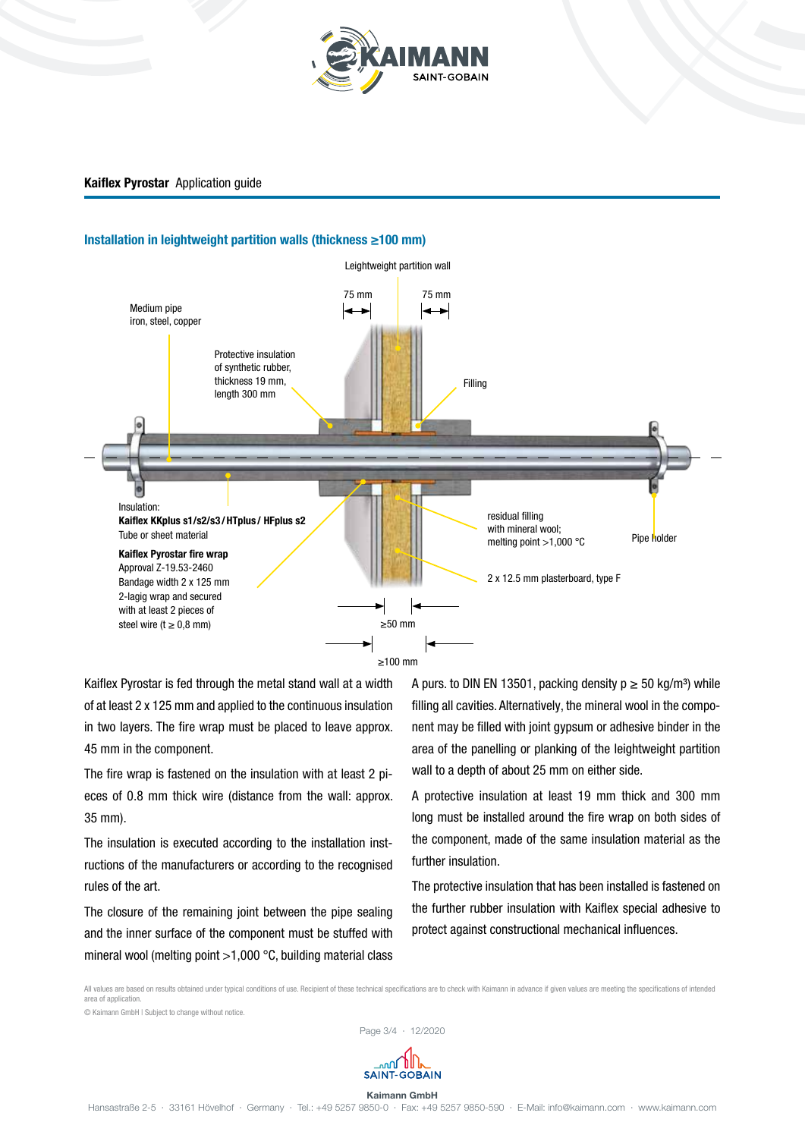

# Installation in leightweight partition walls (thickness ≥100 mm)



Kaiflex Pyrostar is fed through the metal stand wall at a width of at least 2 x 125 mm and applied to the continuous insulation in two layers. The fire wrap must be placed to leave approx. 45 mm in the component.

The fire wrap is fastened on the insulation with at least 2 pieces of 0.8 mm thick wire (distance from the wall: approx. 35 mm).

The insulation is executed according to the installation instructions of the manufacturers or according to the recognised rules of the art.

The closure of the remaining joint between the pipe sealing and the inner surface of the component must be stuffed with mineral wool (melting point >1,000 °C, building material class A purs. to DIN EN 13501, packing density  $p \ge 50$  kg/m<sup>3</sup>) while filling all cavities. Alternatively, the mineral wool in the component may be filled with joint gypsum or adhesive binder in the area of the panelling or planking of the leightweight partition wall to a depth of about 25 mm on either side.

A protective insulation at least 19 mm thick and 300 mm long must be installed around the fire wrap on both sides of the component, made of the same insulation material as the further insulation.

The protective insulation that has been installed is fastened on the further rubber insulation with Kaiflex special adhesive to protect against constructional mechanical influences.

All values are based on results obtained under typical conditions of use. Recipient of these technical specifications are to check with Kaimann in advance if given values are meeting the specifications of intended area of application.

© Kaimann GmbH | Subject to change without notice.